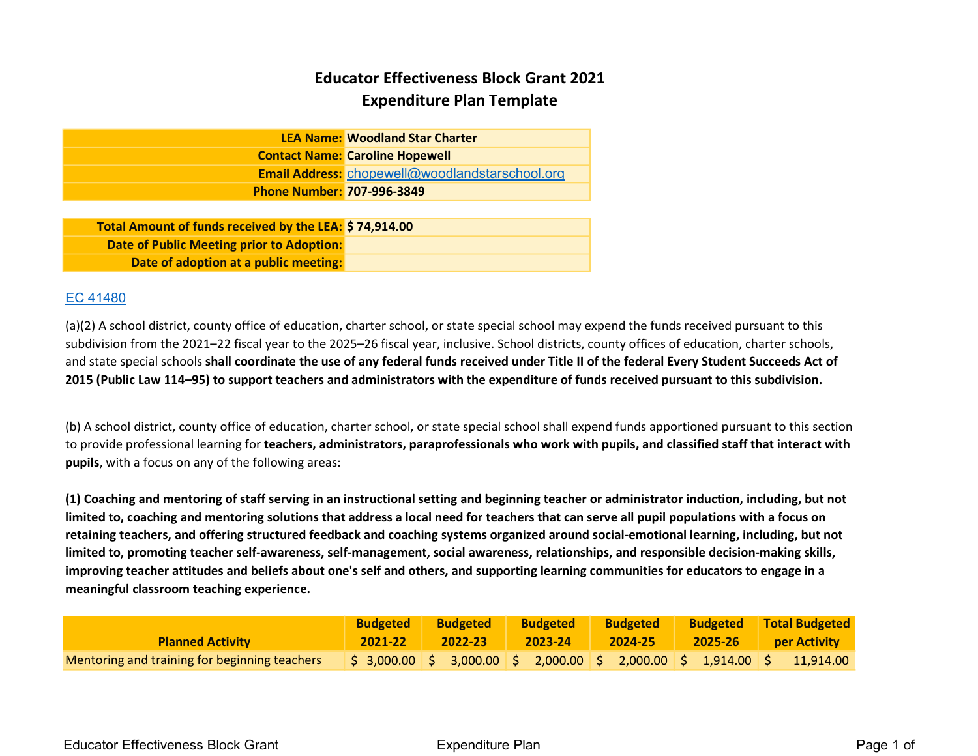# Educator Effectiveness Block Grant 2021 Expenditure Plan Template

|                                   | <b>LEA Name: Woodland Star Charter</b>          |
|-----------------------------------|-------------------------------------------------|
|                                   | <b>Contact Name: Caroline Hopewell</b>          |
|                                   | Email Address: chopewell@woodlandstarschool.org |
| <b>Phone Number: 707-996-3849</b> |                                                 |
|                                   |                                                 |

Total Amount of funds received by the LEA: \$ 74,914.00 Date of Public Meeting prior to Adoption: Date of adoption at a public meeting:

### EC 41480

(a)(2) A school district, county office of education, charter school, or state special school may expend the funds received pursuant to this subdivision from the 2021–22 fiscal year to the 2025–26 fiscal year, inclusive. School districts, county offices of education, charter schools, and state special schools shall coordinate the use of any federal funds received under Title II of the federal Every Student Succeeds Act of 2015 (Public Law 114–95) to support teachers and administrators with the expenditure of funds received pursuant to this subdivision.

(b) A school district, county office of education, charter school, or state special school shall expend funds apportioned pursuant to this section to provide professional learning for teachers, administrators, paraprofessionals who work with pupils, and classified staff that interact with pupils, with a focus on any of the following areas:

(1) Coaching and mentoring of staff serving in an instructional setting and beginning teacher or administrator induction, including, but not limited to, coaching and mentoring solutions that address a local need for teachers that can serve all pupil populations with a focus on retaining teachers, and offering structured feedback and coaching systems organized around social-emotional learning, including, but not limited to, promoting teacher self-awareness, self-management, social awareness, relationships, and responsible decision-making skills, improving teacher attitudes and beliefs about one's self and others, and supporting learning communities for educators to engage in a meaningful classroom teaching experience.

|                                               | <b>Budgeted</b> | <b>Budgeted</b> | <b>Budgeted</b> | <b>Budgeted</b> | <b>Budgeted</b> Total Budgeted                                                                                                             |
|-----------------------------------------------|-----------------|-----------------|-----------------|-----------------|--------------------------------------------------------------------------------------------------------------------------------------------|
| <b>Planned Activity</b>                       |                 | 2021-22 2022-23 |                 |                 | 2023-24 2024-25 2025-26 per Activity                                                                                                       |
| Mentoring and training for beginning teachers |                 |                 |                 |                 | $\frac{1}{5}$ 3,000.00 $\frac{2}{5}$ 3,000.00 $\frac{2}{5}$ 2,000.00 $\frac{2}{5}$ 2,000.00 $\frac{2}{5}$ 1,914.00 $\frac{2}{5}$ 11,914.00 |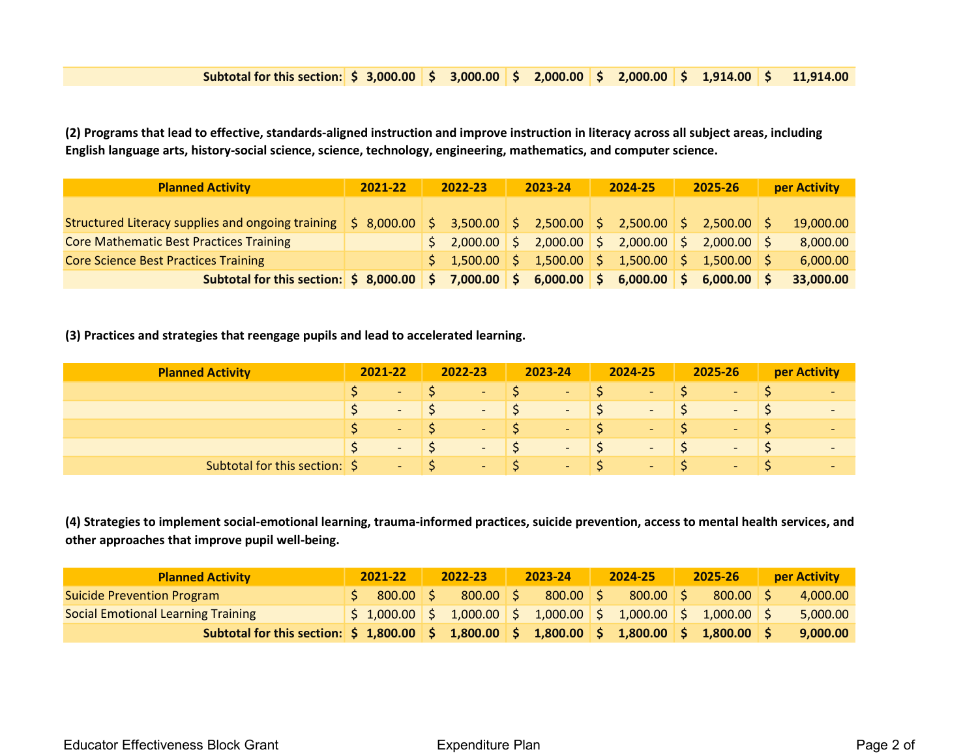#### Subtotal for this section:  $\frac{1}{5}$  3,000.00  $\frac{1}{5}$  3,000.00  $\frac{1}{5}$  2,000.00  $\frac{1}{5}$  2,000.00  $\frac{1}{5}$  1,914.00  $\frac{1}{5}$  11,914.00

(2) Programs that lead to effective, standards-aligned instruction and improve instruction in literacy across all subject areas, including English language arts, history-social science, science, technology, engineering, mathematics, and computer science.

| <b>Planned Activity</b>                                                                                                                                                                                                                                                                                                                                                                       | 2021-22 | 2022-23 | 2023-24 | 2024-25                                                                                                   | 2025-26       | per Activity |
|-----------------------------------------------------------------------------------------------------------------------------------------------------------------------------------------------------------------------------------------------------------------------------------------------------------------------------------------------------------------------------------------------|---------|---------|---------|-----------------------------------------------------------------------------------------------------------|---------------|--------------|
|                                                                                                                                                                                                                                                                                                                                                                                               |         |         |         |                                                                                                           |               |              |
| Structured Literacy supplies and ongoing training $\vert \xi \vert 8,000.00 \vert \xi \vert 3,500.00 \vert \xi \vert 2,500.00 \vert \xi \vert 2,500.00 \vert \xi \vert 2,500.00$                                                                                                                                                                                                              |         |         |         |                                                                                                           |               | 19,000.00    |
| <b>Core Mathematic Best Practices Training</b>                                                                                                                                                                                                                                                                                                                                                |         |         |         | $\frac{1}{2}$ ,000.00 $\frac{1}{2}$ ,000.00 $\frac{1}{2}$ ,000.00 $\frac{1}{2}$ 2,000.00 $\frac{1}{2}$    |               | 8,000.00     |
| <b>Core Science Best Practices Training</b>                                                                                                                                                                                                                                                                                                                                                   |         |         |         | $\frac{1}{2}$ 1,500.00 $\frac{1}{2}$ 1,500.00 $\frac{1}{2}$ 1,500.00 $\frac{1}{2}$ 1,500.00 $\frac{1}{2}$ |               | 6,000.00     |
| Subtotal for this section: $\vert \sin \theta \vert = 3.000.00 \vert \sin \theta = 7.000.00 \vert \sin \theta = 6.000.00 \vert \sin \theta = 6.000.00 \vert \sin \theta = 6.000.00 \vert \sin \theta = 6.000.00 \vert \sin \theta = 6.000.00 \vert \sin \theta = 6.000.00 \vert \sin \theta = 6.000.00 \vert \sin \theta = 6.000.00 \vert \sin \theta = 6.000.00 \vert \sin \theta = 6.000.0$ |         |         |         |                                                                                                           | $6,000.00$ \$ | 33,000.00    |

(3) Practices and strategies that reengage pupils and lead to accelerated learning.

| <b>Planned Activity</b>       | 2021-22 |                       | 2022-23                     |             | 2023-24                                                                       | 2024-25     |                 | 2025-26            |                    | <b>per Activity</b>      |
|-------------------------------|---------|-----------------------|-----------------------------|-------------|-------------------------------------------------------------------------------|-------------|-----------------|--------------------|--------------------|--------------------------|
|                               |         | $-157$                |                             | $-157$      | $-15$                                                                         | $\sim$      |                 | ٠                  |                    |                          |
|                               |         | $ \sqrt{S}$           |                             |             |                                                                               | $ \sqrt{S}$ |                 | <b>All College</b> | IS.                | $\overline{\phantom{a}}$ |
|                               |         | $ \sim$ $\sim$ $\sim$ |                             | $-15$       | $ \sqrt{5}$                                                                   | $\sim$      | $\sim$ S $\sim$ | $\sim$             | $\blacktriangle$ S | $\overline{\phantom{a}}$ |
|                               |         |                       |                             |             | $ \begin{matrix} 5 & -15 \end{matrix}$ $ \begin{matrix} 5 & -15 \end{matrix}$ | $ \sqrt{S}$ |                 | <b>Service</b>     | l S                | $\overline{\phantom{a}}$ |
| Subtotal for this section: \$ |         |                       | $\sim$ $\sim$ $\sim$ $\sim$ | $ \sqrt{S}$ | $ \sqrt{S}$                                                                   | $ \sqrt{S}$ |                 | ÷                  |                    | $\overline{\phantom{a}}$ |

(4) Strategies to implement social-emotional learning, trauma-informed practices, suicide prevention, access to mental health services, and other approaches that improve pupil well-being.

| <b>Planned Activity</b>                                                                                                                                     | 2021-22 | 2022-23 | 2023-24                                                                                                            | $2024 - 25$ | $2025 - 26$ | <b>per Activity</b> |
|-------------------------------------------------------------------------------------------------------------------------------------------------------------|---------|---------|--------------------------------------------------------------------------------------------------------------------|-------------|-------------|---------------------|
| <b>Suicide Prevention Program</b>                                                                                                                           |         |         | $800.00$ \$ $800.00$ \$ $800.00$ \$                                                                                |             | $800.00$ S  | 4,000.00            |
| <b>Social Emotional Learning Training</b>                                                                                                                   |         |         | $\frac{1}{2}$ \$ 1,000.00 $\frac{1}{2}$ 5 1,000.00 $\frac{1}{2}$ 5 1,000.00 $\frac{1}{2}$ 5 1,000.00 $\frac{1}{2}$ |             |             | 5,000.00            |
| Subtotal for this section: $\frac{1}{5}$ 1,800.00 $\frac{1}{5}$ 1,800.00 $\frac{1}{5}$ 1,800.00 $\frac{1}{5}$ 1,800.00 $\frac{1}{5}$ 1,800.00 $\frac{1}{5}$ |         |         |                                                                                                                    |             |             | 9,000.00            |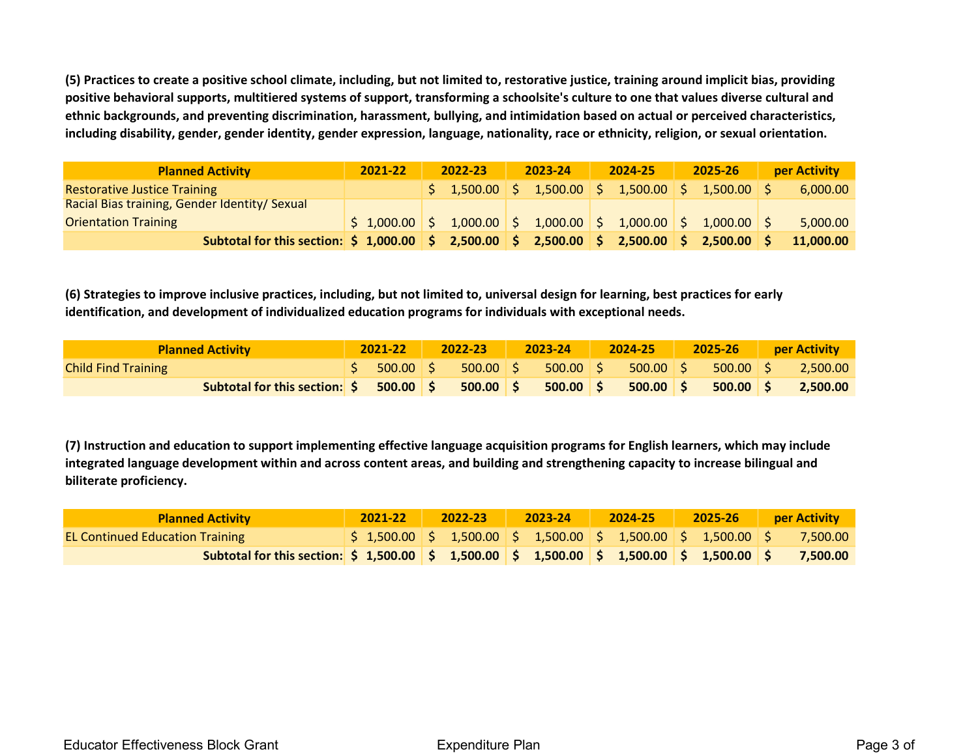(5) Practices to create a positive school climate, including, but not limited to, restorative justice, training around implicit bias, providing positive behavioral supports, multitiered systems of support, transforming a schoolsite's culture to one that values diverse cultural and ethnic backgrounds, and preventing discrimination, harassment, bullying, and intimidation based on actual or perceived characteristics, including disability, gender, gender identity, gender expression, language, nationality, race or ethnicity, religion, or sexual orientation.

| <b>Planned Activity</b>                                                                                                                                     | 2021-22                                                                                                        | 2022-23 | 2023-24 | 2024-25                                                                                                   | 2025-26 | <b>per Activity</b> |
|-------------------------------------------------------------------------------------------------------------------------------------------------------------|----------------------------------------------------------------------------------------------------------------|---------|---------|-----------------------------------------------------------------------------------------------------------|---------|---------------------|
| <b>Restorative Justice Training</b>                                                                                                                         |                                                                                                                |         |         | $\frac{1}{2}$ 1,500.00 $\frac{1}{2}$ 1,500.00 $\frac{1}{2}$ 1,500.00 $\frac{1}{2}$ 1,500.00 $\frac{1}{2}$ |         | 6,000.00            |
| Racial Bias training, Gender Identity/ Sexual                                                                                                               |                                                                                                                |         |         |                                                                                                           |         |                     |
| <b>Orientation Training</b>                                                                                                                                 | $\vert$ \$ 1,000.00 $\vert$ \$ 1,000.00 $\vert$ \$ 1,000.00 $\vert$ \$ 1,000.00 $\vert$ \$ 1,000.00 $\vert$ \$ |         |         |                                                                                                           |         | 5,000.00            |
| Subtotal for this section: $\frac{2}{5}$ 1,000.00 $\frac{2}{5}$ 2,500.00 $\frac{2}{5}$ 2,500.00 $\frac{2}{5}$ 2,500.00 $\frac{2}{5}$ 2,500.00 $\frac{2}{5}$ |                                                                                                                |         |         |                                                                                                           |         | 11,000.00           |

(6) Strategies to improve inclusive practices, including, but not limited to, universal design for learning, best practices for early identification, and development of individualized education programs for individuals with exceptional needs.

| <b>Planned Activity</b>                                                                                                                                                                                                             |  |  |  |  |  | 2021-22 2022-23 2023-24 2024-25 2025-26 per Activity                     |
|-------------------------------------------------------------------------------------------------------------------------------------------------------------------------------------------------------------------------------------|--|--|--|--|--|--------------------------------------------------------------------------|
| <b>Child Find Training</b>                                                                                                                                                                                                          |  |  |  |  |  | $\frac{1}{2}$ 500.00 \$ 500.00 \$ 500.00 \$ 500.00 \$ 500.00 \$ 2,500.00 |
| <b>Subtotal for this section: <math>\frac{2}{5}</math> 500.00 <math>\frac{2}{5}</math> 500.00 <math>\frac{2}{5}</math> 500.00 <math>\frac{2}{5}</math> 500.00 <math>\frac{2}{5}</math> 500.00 <math>\frac{2}{5}</math> 2,500.00</b> |  |  |  |  |  |                                                                          |

(7) Instruction and education to support implementing effective language acquisition programs for English learners, which may include integrated language development within and across content areas, and building and strengthening capacity to increase bilingual and biliterate proficiency.

| <b>Planned Activity</b>                                                                                                                                              | $2021 - 22$ | $2022-23$ |  | 2023-24   2024-25   2025-26   per Activity                                                                                                |  |  |
|----------------------------------------------------------------------------------------------------------------------------------------------------------------------|-------------|-----------|--|-------------------------------------------------------------------------------------------------------------------------------------------|--|--|
| <b>EL Continued Education Training</b>                                                                                                                               |             |           |  | $\frac{1}{2}$ 1,500.00 $\frac{1}{2}$ 1,500.00 $\frac{1}{2}$ 1,500.00 $\frac{1}{2}$ 1,500.00 $\frac{1}{2}$ 1,500.00 $\frac{1}{2}$ 7,500.00 |  |  |
| Subtotal for this section: $\frac{1}{5}$ 1,500.00 $\frac{1}{5}$ 1,500.00 $\frac{1}{5}$ 1,500.00 $\frac{1}{5}$ 1,500.00 $\frac{1}{5}$ 1,500.00 $\frac{1}{5}$ 7,500.00 |             |           |  |                                                                                                                                           |  |  |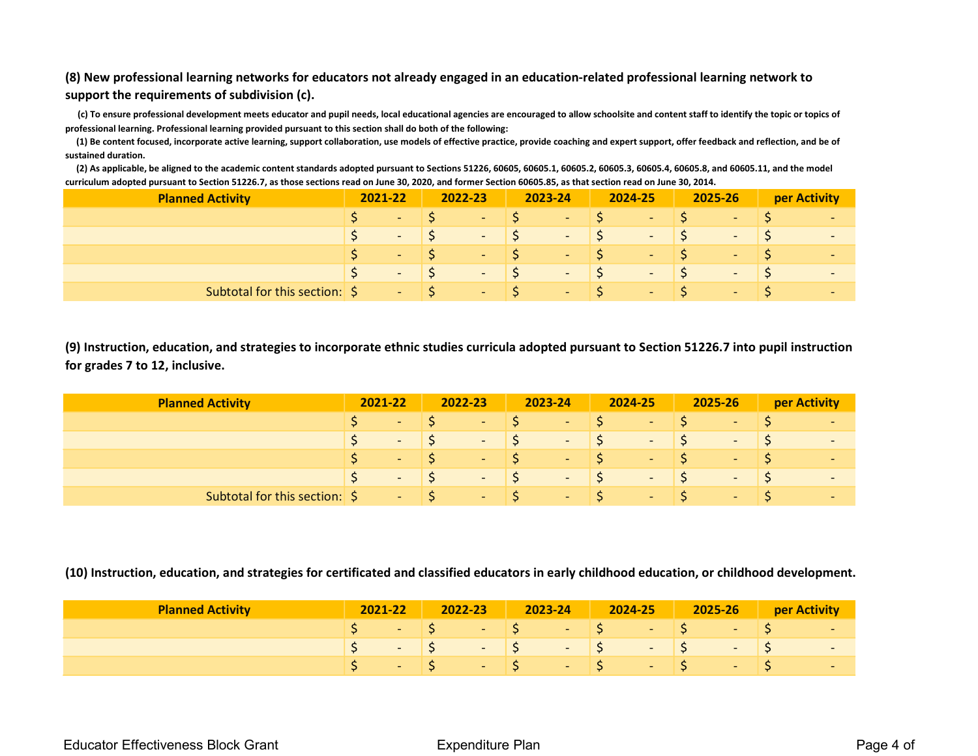## (8) New professional learning networks for educators not already engaged in an education-related professional learning network to support the requirements of subdivision (c).

 (c) To ensure professional development meets educator and pupil needs, local educational agencies are encouraged to allow schoolsite and content staff to identify the topic or topics of professional learning. Professional learning provided pursuant to this section shall do both of the following:

 (1) Be content focused, incorporate active learning, support collaboration, use models of effective practice, provide coaching and expert support, offer feedback and reflection, and be of sustained duration.

 (2) As applicable, be aligned to the academic content standards adopted pursuant to Sections 51226, 60605, 60605.1, 60605.2, 60605.3, 60605.4, 60605.8, and 60605.11, and the model curriculum adopted pursuant to Section 51226.7, as those sections read on June 30, 2020, and former Section 60605.85, as that section read on June 30, 2014.

| <b>Planned Activity</b>       | 2021-22 |                             |                             | 2022-23     | 2023-24               | 2024-25                  | 2025-26    | per Activity             |
|-------------------------------|---------|-----------------------------|-----------------------------|-------------|-----------------------|--------------------------|------------|--------------------------|
|                               |         | $-15$                       |                             |             | $-157$                | <b>Contract Contract</b> | $\sim$     |                          |
|                               |         | $ \sqrt{S}$                 |                             |             |                       | $ \sqrt{S}$              | $\sim 100$ | $\overline{\phantom{a}}$ |
|                               | S.      | $\sim$                      |                             | $ \sqrt{S}$ | $ \sim$ $\sim$ $\sim$ | $ \sqrt{S}$              | $\sim$     |                          |
|                               |         | $\sim$ $\sim$ $\sim$ $\sim$ |                             | $ \sqrt{5}$ | $\sim$ $\sqrt{5}$     | $ \sqrt{S}$              | $\sim$     | п.                       |
| Subtotal for this section: \$ |         |                             | $\sim$ $\sim$ $\sim$ $\sim$ |             | $ \sim$ $\sim$ $\sim$ | $ \sqrt{S}$              | re la      |                          |

(9) Instruction, education, and strategies to incorporate ethnic studies curricula adopted pursuant to Section 51226.7 into pupil instruction for grades 7 to 12, inclusive.

| <b>Planned Activity</b>       | 2021-22 |                             | $2022 - 23$ |                                    | 2023-24                     | 2024-25            | 2025-26    | per Activity             |
|-------------------------------|---------|-----------------------------|-------------|------------------------------------|-----------------------------|--------------------|------------|--------------------------|
|                               |         | $-157$                      |             | $-157$                             | $-157$                      | in the             | ж.         |                          |
|                               |         | $ \sqrt{5}$                 |             |                                    |                             |                    | $\sim 100$ | $\sim$                   |
|                               | S.      | $ \sqrt{S}$                 |             | $-1$ $S$                           | $-1$ $S$                    | $\vert$ S<br>1 – 1 | $\sim$     | $\overline{\phantom{0}}$ |
|                               |         | $\sim$ $\sim$ $\sim$ $\sim$ |             | $\sim$ $\sim$ $\sim$ $\sim$ $\sim$ | $\sim$ $\sim$ $\sim$ $\sim$ | $\sim$ $\sqrt{5}$  | $\sim$     | $\sim$                   |
| Subtotal for this section: \$ |         |                             |             | $\sim$ $\sim$ $\sim$ $\sim$        | $ \sqrt{S}$                 | $ \sqrt{S}$        | $\sim$     | $\overline{\phantom{0}}$ |

(10) Instruction, education, and strategies for certificated and classified educators in early childhood education, or childhood development.

| <b>Planned Activity</b> | 2021-22 |  | 2022-23 | 2023-24 | <b>2024-25</b> 2025-26 per Activity                         |  |     |
|-------------------------|---------|--|---------|---------|-------------------------------------------------------------|--|-----|
|                         |         |  |         |         | $S \t - 1S \t - 1S \t - 1S \t - 1S \t - 1S \t - 1S \t - 1S$ |  |     |
|                         |         |  |         |         | $S - S = S - S - S - S$                                     |  | - 7 |
|                         |         |  |         |         | - S - S - S - S - S                                         |  |     |